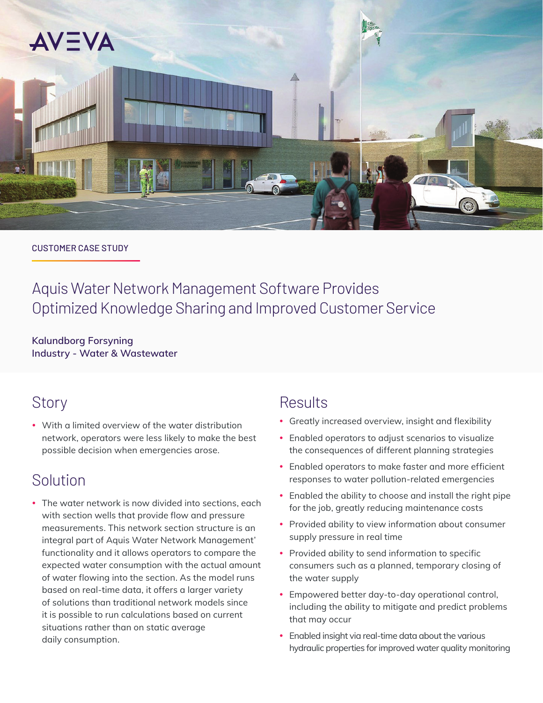

### CUSTOMER CASE STUDY

Aquis Water Network Management Software Provides Optimized Knowledge Sharing and Improved Customer Service

**Kalundborg Forsyning Industry - Water & Wastewater**

## **Story**

• With a limited overview of the water distribution network, operators were less likely to make the best possible decision when emergencies arose.

# Solution

• The water network is now divided into sections, each with section wells that provide flow and pressure measurements. This network section structure is an integral part of Aquis Water Network Management' functionality and it allows operators to compare the expected water consumption with the actual amount of water flowing into the section. As the model runs based on real-time data, it offers a larger variety of solutions than traditional network models since it is possible to run calculations based on current situations rather than on static average daily consumption.

### Results

- Greatly increased overview, insight and flexibility
- Enabled operators to adjust scenarios to visualize the consequences of different planning strategies
- Enabled operators to make faster and more efficient responses to water pollution-related emergencies
- Enabled the ability to choose and install the right pipe for the job, greatly reducing maintenance costs
- Provided ability to view information about consumer supply pressure in real time
- Provided ability to send information to specific consumers such as a planned, temporary closing of the water supply
- Empowered better day-to-day operational control, including the ability to mitigate and predict problems that may occur
- Enabled insight via real-time data about the various hydraulic properties for improved water quality monitoring